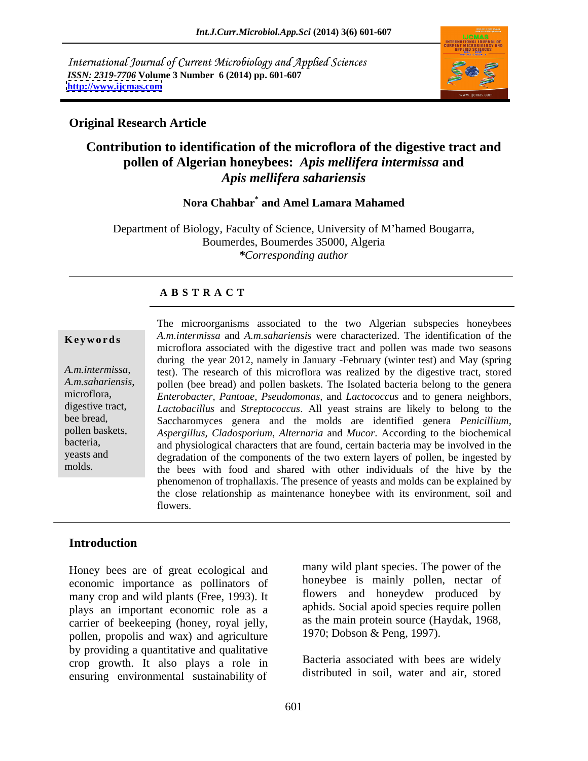International Journal of Current Microbiology and Applied Sciences *ISSN: 2319-7706* **Volume 3 Number 6 (2014) pp. 601-607 <http://www.ijcmas.com>**



### **Original Research Article**

# **Contribution to identification of the microflora of the digestive tract and pollen of Algerian honeybees:** *Apis mellifera intermissa* **and**  *Apis mellifera sahariensis*

#### **Nora Chahbar\* and Amel Lamara Mahamed**

Department of Biology, Faculty of Science, University of M hamed Bougarra, Boumerdes, Boumerdes 35000, Algeria *\*Corresponding author*

#### **A B S T R A C T**

**Keywords** A.m.intermissa and A.m.sahariensis were characterized. The identification of the *A.m.intermissa,*  test). The research of this microflora was realized by the digestive tract, stored *A.m.sahariensis*, pollen (bee bread) and pollen baskets. The Isolated bacteria belong to the genera microflora, *Enterobacter, Pantoae, Pseudomonas,* and *Lactococcus* and to genera neighbors. digestive tract, *Lactobacillus* and *Streptococcus*. All yeast strains are likely to belong to the bee bread, Saccharomyces genera and the molds are identified genera *Penicillium,*  pollen baskets, *Aspergillus, Cladosporium*, *Alternaria* and *Mucor*. According to the biochemical bacteria, and physiological characters that are found, certain bacteria may be involved in the yeasts and degradation of the components of the two extern layers of pollen, be ingested by molds. the bees with food and shared with other individuals of the hive by the The microorganisms associated to the two Algerian subspecies honeybees microflora associated with the digestive tract and pollen was made two seasons during the year 2012, namely in January -February (winter test) and May (spring *Enterobacter, Pantoae, Pseudomonas,* and *Lactococcus* and to genera neighbors, phenomenon of trophallaxis. The presence of yeasts and molds can be explained by the close relationship as maintenance honeybee with its environment, soil and flowers.

### **Introduction**

Honey bees are of great ecological and economic importance as pollinators of many crop and wild plants (Free, 1993). It plays an important economic role as a carrier of beekeeping (honey, royal jelly, pollen, propolis and wax) and agriculture by providing a quantitative and qualitative crop growth. It also plays a role in ensuring environmental sustainability of

many wild plant species. The power of the honeybee is mainly pollen, nectar of flowers and honeydew produced by aphids. Social apoid species require pollen as the main protein source (Haydak, 1968, 1970; Dobson & Peng, 1997).

Bacteria associated with bees are widely distributed in soil, water and air, stored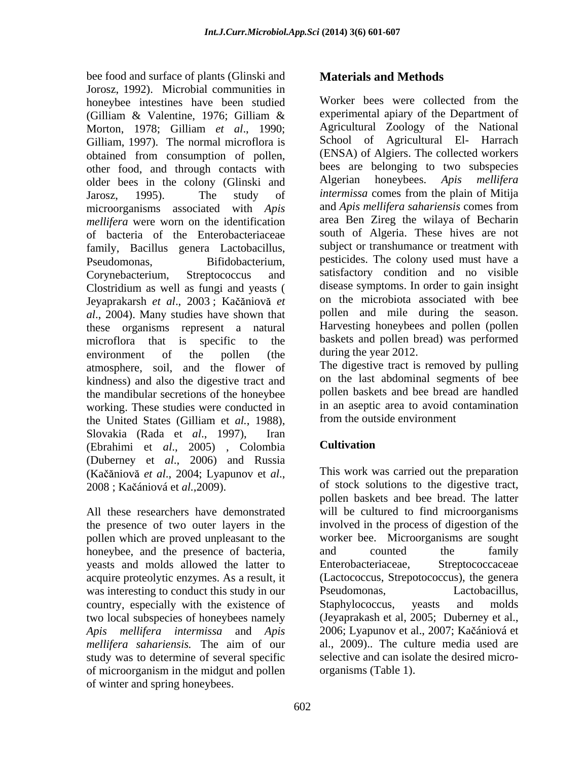bee food and surface of plants (Glinski and Jorosz, 1992). Microbial communities in<br>honeybee, intestines, have been studied and Worker bees were collected from the honeybee intestines have been studied (Gilliam & Valentine, 1976; Gilliam & experimental apiary of the Department of Morton, 1978; Gilliam *et al*., 1990; Gilliam, 1997). The normal microflora is obtained from consumption of pollen, other food, and through contacts with older bees in the colony (Glinski and Jarosz, 1995). The study of *intermissa* comes from the plain of Mitija microorganisms associated with *Apis mellifera* were worn on the identification of bacteria of the Enterobacteriaceae family, Bacillus genera Lactobacillus, Pseudomonas, Bifidobacterium, pesticides. The colony used must have a Corynebacterium, Streptococcus and satisfactory condition and no visible Clostridium as well as fungi and yeasts ( Jeyaprakarsh et al., 2003; Kačăniovă et *al*., 2004). Many studies have shown that these organisms represent a natural microflora that is specific to the environment of the pollen (the during the year 2012. atmosphere, soil, and the flower of kindness) and also the digestive tract and the mandibular secretions of the honeybee working. These studies were conducted in the United States (Gilliam et *al.*, 1988), from the outside environment<br>Slovakia (Rada et *al.*, 1997), Iran (Ebrahimi et *al*., 2005) , Colombia (Duberney et *al*., 2006) and Russia

the presence of two outer layers in the pollen which are proved unpleasant to the honeybee, and the presence of bacteria, and counted the family veasts and molds allowed the latter to Enterobacteriaceae, Streptococcaceae yeasts and molds allowed the latter to was interesting to conduct this study in our Pseudomonas, Lactobacillus, country, especially with the existence of Staphylococcus, yeasts and molds *Apis mellifera intermissa* and *Apis*  study was to determine of several specific of microorganism in the midgut and pollen of winter and spring honeybees.

# **Materials and Methods**

Worker bees were collected from the experimental apiary of the Department of Agricultural Zoology of the National School of Agricultural El- Harrach (ENSA) of Algiers. The collected workers bees are belonging to two subspecies Algerian honeybees. *Apis mellifera* and *Apis mellifera sahariensis* comes from area Ben Zireg the wilaya of Becharin south of Algeria. These hives are not subject or transhumance or treatment with disease symptoms. In order to gain insight on the microbiota associated with bee pollen and mile during the season. Harvesting honeybees and pollen (pollen baskets and pollen bread) was performed during the year 2012.

The digestive tract is removed by pulling on the last abdominal segments of bee pollen baskets and bee bread are handled in an aseptic area to avoid contamination from the outside environment

# **Cultivation**

(Kačăniovă *et al.*, 2004; Lyapunov et *al.*, <sup>201</sup> This work was carried out the preparation<br>2008 ; Kačániová et *al.*, 2009). <br>All these researchers have demonstrated will be cultured to find microorganisms acquire proteolytic enzymes. As a result, it (Lactococcus, Strepotococcus), the genera two local subspecies of honeybees namely (Jeyaprakash et al, 2005; Duberney et al., *mellifera sahariensis.* The aim of our This work was carried out the preparation of stock solutions to the digestive tract, pollen baskets and bee bread. The latter will be cultured to find microorganisms involved in the process of digestion of the worker bee. Microorganisms are sought and counted the family Enterobacteriaceae, Streptococcaceae Pseudomonas, Lactobacillus, Staphylococcus, yeasts and molds 2006; Lyapunov et al., 2007; Kačániová et al., 2009).. The culture media used are selective and can isolate the desired micro organisms (Table 1).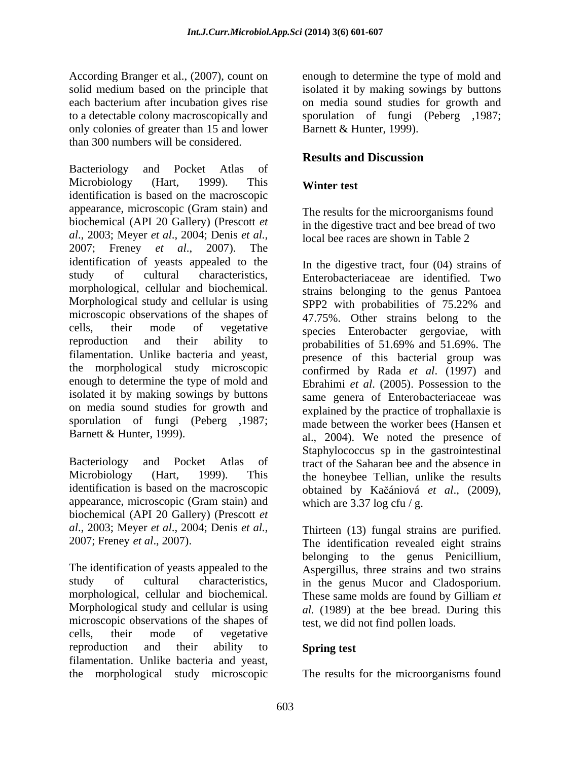each bacterium after incubation gives rise only colonies of greater than 15 and lower than 300 numbers will be considered.

Bacteriology and Pocket Atlas of Microbiology (Hart, 1999). This **Winter test** identification is based on the macroscopic appearance, microscopic (Gram stain) and biochemical (API 20 Gallery) (Prescott *et al*., 2003; Meyer *et al*., 2004; Denis *et al.*, 2007; Freney *et al*., 2007). The identification of yeasts appealed to the study of cultural characteristics, Enterobacteriaceae are identified. Two morphological, cellular and biochemical. strains belonging to the genus Pantoea Morphological study and cellular is using SPP2 with probabilities of 75.22% and microscopic observations of the shapes of cells, their mode of vegetative species Enterobacter gergoviae, with reproduction and their ability to probabilities of 51.69% and 51.69%. The filamentation. Unlike bacteria and yeast, the morphological study microscopic enough to determine the type of mold and isolated it by making sowings by buttons on media sound studies for growth and sporulation of fungi (Peberg ,1987;

identification is based on the macroscopic appearance, microscopic (Gram stain) and biochemical (API 20 Gallery) (Prescott *et al*., 2003; Meyer *et al*., 2004; Denis *et al.*, 2007; Freney *et al*., 2007).

The identification of yeasts appealed to the study of cultural characteristics, in the genus Mucor and Cladosporium. morphological, cellular and biochemical. These same molds are found by Gilliam *et*  Morphological study and cellular is using *al.* (1989) at the bee bread. During this microscopic observations of the shapes of cells, their mode of vegetative reproduction and their ability to **Spring test** filamentation. Unlike bacteria and yeast,

According Branger et al., (2007), count on enough to determine the type of mold and solid medium based on the principle that isolated it by making sowings by buttons to a detectable colony macroscopically and sporulation of fungi (Peberg ,1987; on media sound studies for growth and Barnett & Hunter, 1999).

# **Results and Discussion**

# **Winter test**

The results for the microorganisms found in the digestive tract and bee bread of two local bee races are shown in Table 2

Barnett & Hunter, 1999). al., 2004). We noted the presence of Bacteriology and Pocket Atlas of tract of the Saharan bee and the absence in Microbiology (Hart, 1999). This the honeybee Tellian, unlike the results In the digestive tract, four (04) strains of 47.75%. Other strains belong to the probabilities of 51.69% and 51.69%. The presence of this bacterial group was confirmed by Rada *et al*. (1997) and Ebrahimi *et al*. (2005). Possession to the same genera of Enterobacteriaceae was explained by the practice of trophallaxie is made between the worker bees (Hansen et Staphylococcus sp in the gastrointestinal obtained by Ka ániová *et al*., (2009), which are  $3.37 \log \text{ctu}$  / g.

> Thirteen (13) fungal strains are purified. The identification revealed eight strains belonging to the genus Penicillium, Aspergillus, three strains and two strains test, we did not find pollen loads.

## **Spring test**

the morphological study microscopic The results for the microorganisms found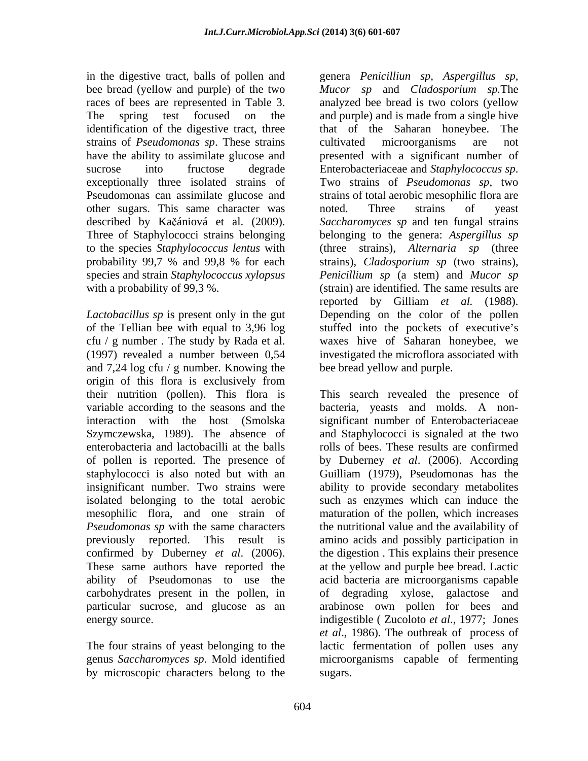strains of *Pseudomonas sp*. These strains sucrose into fructose degrade Enterobacteriaceae and *Staphylococcus sp*. exceptionally three isolated strains of Two strains of *Pseudomonas sp*, two Pseudomonas can assimilate glucose and other sugars. This same character was noted. Three strains of yeast

*Lactobacillus sp* is present only in the gut and 7,24 log cfu / g number. Knowing the origin of this flora is exclusively from isolated belonging to the total aerobic confirmed by Duberney *et al*. (2006). carbohydrates present in the pollen, in

The four strains of yeast belonging to the by microscopic characters belong to the

in the digestive tract, balls of pollen and genera *Penicilliun sp, Aspergillus sp,* bee bread (yellow and purple) of the two *Mucor sp* and *Cladosporium sp.*The races of bees are represented in Table 3. analyzed bee bread is two colors (yellow<br>The spring test focused on the and purple) and is made from a single hive identification of the digestive tract, three that of the Saharan honeybee. The have the ability to assimilate glucose and presented with a significant number of described by Kačániová et al. (2009). *Saccharomyces sp* and ten fungal strains Three of Staphylococci strains belonging belonging to the genera: *Aspergillus sp* to the species *Staphylococcus lentus* with (three strains), *Alternaria sp* (three probability 99,7 % and 99,8 % for each strains), *Cladosporium sp* (two strains), species and strain *Staphylococcus xylopsus Penicillium sp* (a stem) and *Mucor sp* with a probability of 99,3 %. (strain) are identified. The same results are of the Tellian bee with equal to 3,96 log stuffed into the pockets of executive's cfu / g number . The study by Rada et al. waxes hive of Saharan honeybee, we (1997) revealed a number between 0,54 investigated the microflora associated with analyzed bee bread is two colors (yellow and purple) and is made from a single hive cultivated microorganisms are not Enterobacteriaceae and *Staphylococcus sp*. Two strains of *Pseudomonas sp*, two strains of total aerobic mesophilic flora are noted. Three strains of yeast reported by Gilliam *et al.* (1988). Depending on the color of the pollen bee bread yellow and purple.

their nutrition (pollen). This flora is This search revealed the presence of variable according to the seasons and the bacteria, yeasts and molds. A non interaction with the host (Smolska significant number of Enterobacteriaceae Szymczewska, 1989). The absence of and Staphylococci is signaled at the two enterobacteria and lactobacilli at the balls rolls of bees. These results are confirmed of pollen is reported. The presence of by Duberney *et al*. (2006). According staphylococci is also noted but with an Guilliam (1979), Pseudomonas has the insignificant number. Two strains were ability to provide secondary metabolites mesophilic flora, and one strain of maturation of the pollen, which increases *Pseudomonas sp* with the same characters the nutritional value and the availability of previously reported. This result is amino acids and possibly participation in These same authors have reported the at the yellow and purple bee bread. Lactic ability of Pseudomonas to use the acid bacteria are microorganisms capable particular sucrose, and glucose as an arabinose own pollen for bees and energy source. indigestible ( Zucoloto *et al*., 1977; Jones genus *Saccharomyces sp*. Mold identified microorganisms capable of fermenting such as enzymes which can induce the the digestion . This explains their presence degrading xylose, galactose *et al*., 1986). The outbreak of process of lactic fermentation of pollen uses any sugars.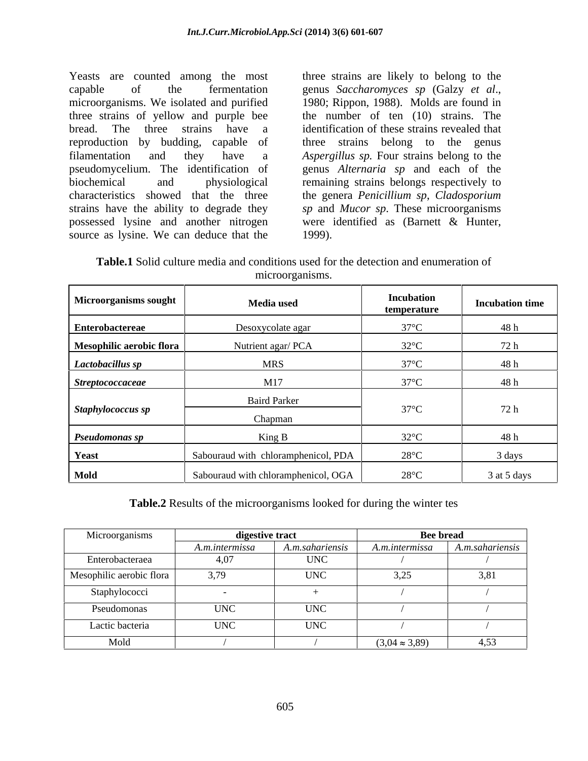Yeasts are counted among the most three strains are likely to belong to the capable of the fermentation genus Saccharomyces sp (Galzy et al., microorganisms. We isolated and purified 1980; Rippon, 1988). Molds are found in three strains of yellow and purple bee the number of ten (10) strains. The bread. The three strains have a identification of these strains revealed that reproduction by budding, capable of filamentation and they have a *Aspergillus sp.* Four strains belong to the pseudomycelium. The identification of genus *Alternaria sp* and each of the biochemical and physiological remaining strains belongs respectively to characteristics showed that the three the genera *Penicillium sp*, *Cladosporium*  strains have the ability to degrade they *sp* and *Mucor sp*. These microorganisms possessed lysine and another nitrogen were identified as (Barnett & Hunter, source as lysine. We can deduce that the 1999).

genus *Saccharomyces sp* (Galzy *et al*., 1980; Rippon, 1988). Molds are found in three strains belong to the genus were identified as (Barnett & Hunter,<br>1999).

| I`ablc<br>used for the<br>enumeration of<br>ction<br>conditions<br>-dete<br>and<br>med <sub>1</sub> a<br>. culture<br>しい<br>. . |  |
|---------------------------------------------------------------------------------------------------------------------------------|--|
| roorganisms<br>mıc                                                                                                              |  |

| Microorganisms sought    | <b>Media</b> used                   | Incubation<br>temperature | <b>Incubation time</b> |
|--------------------------|-------------------------------------|---------------------------|------------------------|
| <b>Enterobactereae</b>   | Desoxycolate agar                   | $37^{\circ}$ C            | 48 h                   |
| Mesophilic aerobic flora | Nutrient agar/ PCA                  | $32^{\circ}$ C            | 72 h                   |
| Lactobacillus sp         | <b>MRS</b>                          | $37^{\circ}$ C            | 48 h                   |
| Streptococcaceae         | M17                                 | $37^{\circ}$ C            | 48 h                   |
|                          | <b>Baird Parker</b>                 |                           |                        |
| Staphylococcus sp        | Chapman                             | $37^{\circ}$ C            | 72 h                   |
| Pseudomonas sp           | King B                              | $32^{\circ}$ C            | 48 h                   |
| Yeast                    | Sabouraud with chloramphenicol, PDA | $28^{\circ}$ C            | 3 days                 |
| <b>Mold</b>              | Sabouraud with chloramphenicol, OGA | $28^{\circ}$ C            | 3 at 5 days            |

**Table.2** Results of the microorganisms looked for during the winter tes

| Microorganisms           | digestive tract |                 | <b>Bee bread</b>      |                 |
|--------------------------|-----------------|-----------------|-----------------------|-----------------|
|                          | A.m.intermissa  | A.m.sahariensis | A.m.intermissa        | A.m.sahariensis |
| Enterobacteraea          |                 | <b>UNC</b>      |                       |                 |
| Mesophilic aerobic flora | 3,79            | <b>UNC</b>      | 3,25                  | 3,81            |
| Staphylococci            |                 |                 |                       |                 |
| Pseudomonas              | <b>UNC</b>      | <b>UNC</b>      |                       |                 |
| Lactic bacteria          | <b>UNC</b>      | <b>UNC</b>      |                       |                 |
| Mold                     |                 |                 | $(3,04 \approx 3,89)$ | 4,53            |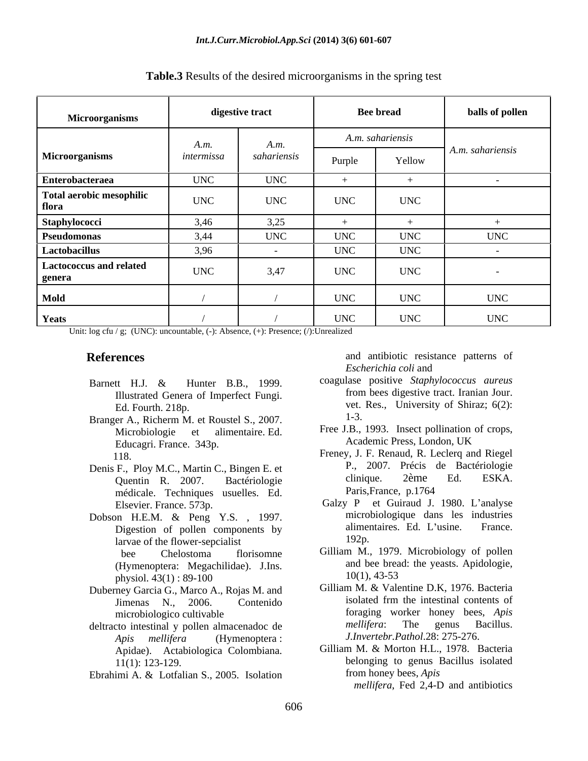| Microorganisms                    |            | digestive tract |            | <b>Bee bread</b> | balls of pollen    |  |
|-----------------------------------|------------|-----------------|------------|------------------|--------------------|--|
|                                   | A.m.       | A.m.            |            | A.m. sahariensis |                    |  |
| Microorganisms                    | intermissa | sahariensis     | Purple     | Yellow           | $A.m.$ sahariensis |  |
| <b>Enterobacteraea</b>            | <b>UNC</b> | <b>UNC</b>      |            |                  |                    |  |
| Total aerobic mesophilic<br>flora | <b>UNC</b> | <b>UNC</b>      | <b>UNC</b> | <b>UNC</b>       |                    |  |
| Staphylococci                     | 3,46       | 3,25            |            |                  |                    |  |
| Pseudomonas                       | 3,44       | <b>UNC</b>      | <b>UNC</b> | <b>UNC</b>       | <b>UNC</b>         |  |
| Lactobacillus                     | 3,96       |                 | <b>UNC</b> | <b>UNC</b>       |                    |  |
| Lactococcus and related<br>genera | <b>UNC</b> | 3,47            | <b>UNC</b> | <b>UNC</b>       |                    |  |
| Mold                              |            |                 | <b>UNC</b> | <b>UNC</b>       | <b>UNC</b>         |  |
| Yeats                             |            |                 | <b>UNC</b> | <b>UNC</b>       | <b>UNC</b>         |  |

**Table.3** Results of the desired microorganisms in the spring test

Unit: log cfu / g; (UNC): uncountable, (-): Absence, (+): Presence; (/): Unrealized

- 
- Branger A., Richerm M. et Roustel S., 2007. <sup>1-3.</sup> Educagri. France. 343p. Academic Press, London, UK
- médicale. Techniques usuelles. Ed. Paris, France, p.1764
- Dobson H.E.M. & Peng Y.S., 1997. microbiologique dans les industries<br>Digestion of pollen components by alimentaires. Ed. L'usine. France. Digestion of pollen components by alimer<br>
larvae of the flower-sencialist 192p. larvae of the flower-sepcialist (Hymenoptera: Megachilidae). J.Ins. and bee brea<br>physiol  $43(1) \cdot 89-100$   $10(1)$ ,  $43-53$
- Duberney Garcia G., Marco A., Rojas M. and Gilliam M. & Valentine D.K, 1976. Bacteria<br>
limenas N 2006 Contenido isolated frm the intestinal contents of
- *Apis mellifera* (Hymenoptera : Apidae). Actabiologica Colombiana.
- 

**References** and antibiotic resistance patterns of *Escherichia coli* and

- Barnett H.J. & Hunter B.B., 1999. Coagulase positive Staphylococcus aureus Illustrated Genera of Imperfect Fungi. from bees digestive tract. Iranian Jour. Ed. Fourth. 218p. coagulase positive *Staphylococcus aureus* from bees digestive tract. Iranian Jour. 1-3.
	- Microbiologie et alimentaire. Ed. Free J.B., 1993. Insect pollination of crops, Academic Press, London, UK
- 118. Freney, J. F. Kenaud, K. Leclerq and Kiegel<br>Denis F., Ploy M.C., Martin C., Bingen E. et<br>Duentin R 2007 Bactériologie clinique. 2ème Ed. ESKA. Quentin R. 2007. Bactériologie climique. 2eme Ed. ESKA. Freney, J. F. Renaud, R. Leclerq and Riegel P., 2007. Précis de Bactériologie clinique. 2ème Ed. ESKA. Paris,France, p.1764
	- Elsevier. France. 573p. Calzy P et Guiraud J. 1980. L'analyse microbiologique dans les industries alimentaires. Ed. L'usine. France. 192p.
	- bee Chelostoma florisomne Gilliam M., 1979. Microbiology of pollen and bee bread: the yeasts. Apidologie, 10(1), 43-53
- physiol. 43(1): 89-100<br>
physiol. 43(1): 89-100<br>
physiol. 43(1): 89-100<br>
Gilliam M. & Valentine D.K. 1976. Bacteria Jimenas N., 2006. Contenido microbiologico cultivable foraging worker honey bees, *Apis*  deltracto intestinal y pollen almacenadoc de *mellifera*: The genus Bacillus. Gilliam M. & Valentine D.K, 1976. Bacteria isolated frm the intestinal contents of *mellifera*: The genus Bacillus. *J.Invertebr.Pathol*.28: 275-276.
- 11(1): 123-129. belonging to genus Bacillus isolated Ebrahimi A. & Lotfalian S., 2005. Isolation from honey bees, Apis<br>mellifera, Fed 2,4-D and antibiotics Gilliam M. & Morton H.L., 1978. Bacteria from honey bees, *Apis mellifera*, Fed 2,4-D and antibiotics